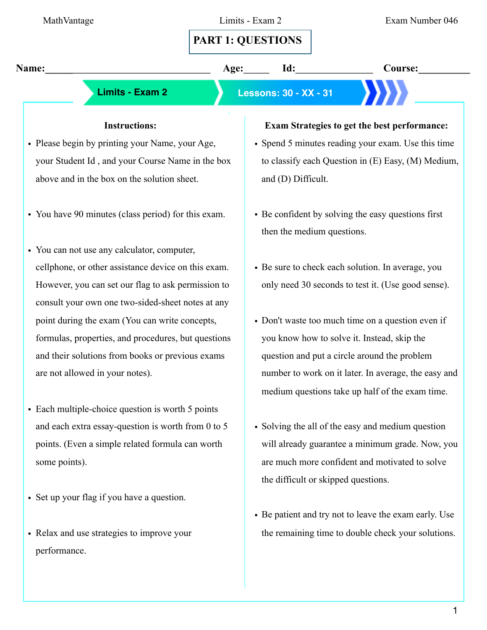# **PART 1: QUESTIONS**

**Name:** Age: 1d: Course:

 **Limits - Exam 2 Lessons: 30 - XX - 31**

### **Instructions:**

- Please begin by printing your Name, your Age, your Student Id , and your Course Name in the box above and in the box on the solution sheet.
- You have 90 minutes (class period) for this exam.
- You can not use any calculator, computer, cellphone, or other assistance device on this exam. However, you can set our flag to ask permission to consult your own one two-sided-sheet notes at any point during the exam (You can write concepts, formulas, properties, and procedures, but questions and their solutions from books or previous exams are not allowed in your notes).
- Each multiple-choice question is worth 5 points and each extra essay-question is worth from 0 to 5 points. (Even a simple related formula can worth some points).
- Set up your flag if you have a question.
- Relax and use strategies to improve your performance.

### **Exam Strategies to get the best performance:**

- Spend 5 minutes reading your exam. Use this time to classify each Question in (E) Easy, (M) Medium, and (D) Difficult.
- Be confident by solving the easy questions first then the medium questions.
- Be sure to check each solution. In average, you only need 30 seconds to test it. (Use good sense).
- Don't waste too much time on a question even if you know how to solve it. Instead, skip the question and put a circle around the problem number to work on it later. In average, the easy and medium questions take up half of the exam time.
- Solving the all of the easy and medium question will already guarantee a minimum grade. Now, you are much more confident and motivated to solve the difficult or skipped questions.
- Be patient and try not to leave the exam early. Use the remaining time to double check your solutions.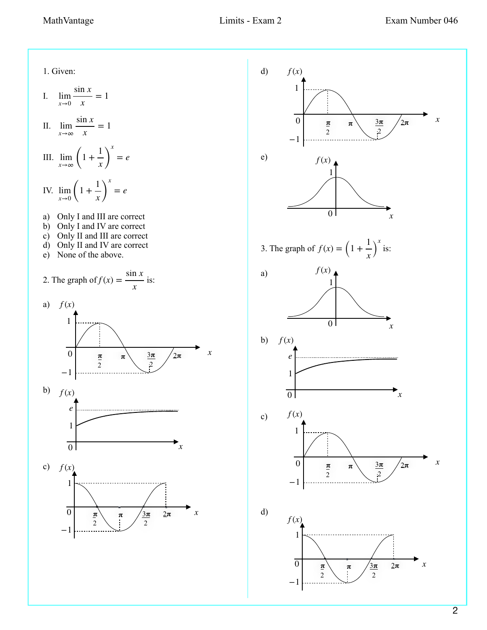1 *x* ) *x*

> $\frac{3\pi}{2}$ 2

 $\frac{3\pi}{2}$ 2

 $2\pi$ 

*x*

 $\frac{3\pi}{2}$ 2

 $2\pi$ 

1. Given: I.  $\lim_{x\to 0}$ II. lim *x*→∞ III.  $\lim_{x\to\infty}$  (1+ IV.  $\lim_{x\to 0} \left(1 + \right)$ a) Only I and III are correct b) Only I and IV are correct c) Only II and III are correct d) Only II and IV are correct e) None of the above. 2. The graph of  $f(x) = \frac{\sin x}{x}$  is: a)  $f(x)$ b) c) d) e) 3. The graph of  $f(x) = \left(1 + \frac{1}{x}\right)$  is: a) b) c) d) sin *x*  $\frac{1}{x} = 1$ sin *x*  $\frac{1}{x} = 1$ 1 *x* ) *x* = *e* 1 *x* ) *x* = *e x f* (*x*) 1 0 *x*  $\overline{\mathbf{r}}$  $\overline{2}$ *f* (*x*) 0  $\pi$   $\pi$   $3\pi$   $/2\pi$  x −1 1 *f* (*x*) 1 0 *x e*  $f(x)$ 1 0 *x f* (*x*) 1 0 *x e*  $\overline{\mathbf{r}}$ 2  $\pi$   $/3\pi$   $2\pi$  $\overline{2}$ *f* (*x*) *x* 1 −1  $\overline{0}$  $\pi$   $\pi$ 2  $\frac{3\pi}{2}$ 2  $\sqrt{2\pi}$ 0  $\pi$   $\pi$   $3\pi$   $/2\pi$  x −1 1  $\pi$   $\pi$ 2 *f* (*x*) 0  $\pi$   $\pi$   $3\pi$   $/2\pi$  x −1 1  $\mathbf{r}$ 2  $\pi$   $/3\pi$   $2\pi$ *f* (*x*) 1 −1  $\overline{0}$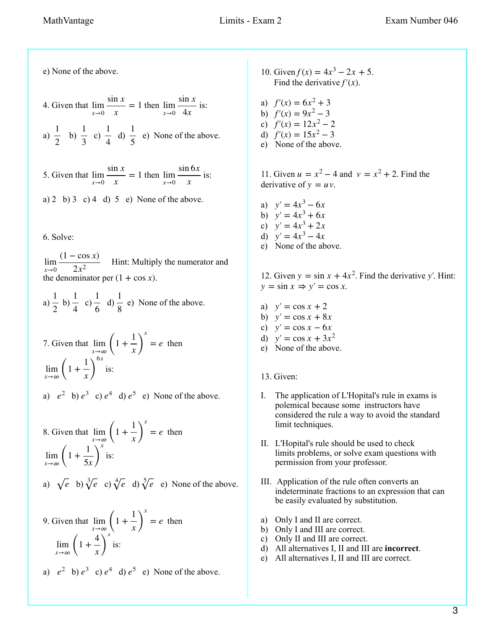e) None of the above.

4. Given that  $\lim_{x\to 0} \frac{\sin x}{x} = 1$  then  $\lim_{x\to 0} \frac{\sin x}{4x}$  is: a)  $\frac{1}{2}$  b)  $\frac{1}{2}$  c)  $\frac{1}{4}$  d)  $\frac{1}{5}$  e) None of the above. 5. Given that  $\lim_{x\to 0} \frac{\sin x}{x} = 1$  then  $\lim_{x\to 0} \frac{\sin x}{x}$  is: sin *x*  $\frac{2x}{x} = 1$  then  $\lim_{x \to 0}$ sin *x* 4*x* 2 1 3 1 4 1 5 sin *x*  $\frac{1}{x} = 1$  then  $\lim_{x \to 0}$ sin 6*x x*

a) 2 b) 3 c) 4 d) 5 e) None of the above.

### 6. Solve:

 $\lim_{x\to 0} \frac{x^2 - 265x}{2x^2}$  Hint: Multiply the numerator and the denominator per  $(1 + \cos x)$ .  $(1 - \cos x)$ 2*x*<sup>2</sup>

a)  $\frac{1}{2}$  b)  $\frac{1}{2}$  c)  $\frac{1}{2}$  d)  $\frac{1}{2}$  e) None of the above. 2 1 4 1 6 1 8

7. Given that 
$$
\lim_{x \to \infty} \left(1 + \frac{1}{x}\right)^x = e
$$
 then  
\n $\lim_{x \to \infty} \left(1 + \frac{1}{x}\right)^{6x}$  is:

a)  $e^2$  b)  $e^3$  c)  $e^4$  d)  $e^5$  e) None of the above.

8. Given that 
$$
\lim_{x \to \infty} \left(1 + \frac{1}{x}\right)^x = e
$$
 then  
\n
$$
\lim_{x \to \infty} \left(1 + \frac{1}{5x}\right)^x
$$
 is:  
\na)  $\sqrt{e}$  b)  $\sqrt[3]{e}$  c)  $\sqrt[4]{e}$  d)  $\sqrt[5]{e}$  e) None of the above.

9. Given that 
$$
\lim_{x \to \infty} \left(1 + \frac{1}{x}\right)^x = e
$$
 then  

$$
\lim_{x \to \infty} \left(1 + \frac{4}{x}\right)^x
$$
 is:

a)  $e^2$  b)  $e^3$  c)  $e^4$  d)  $e^5$  e) None of the above.

- 10. Given  $f(x) = 4x^3 2x + 5$ . Find the derivative  $f'(x)$ .
- a)  $f'(x) = 6x^2 + 3$ b)  $f'(x) = 9x^2 - 3$ c)  $f'(x) = 12x^2 - 2$ d)  $f'(x) = 15x^2 - 3$
- e) None of the above.

11. Given  $u = x^2 - 4$  and  $v = x^2 + 2$ . Find the derivative of  $y = uv$ .

a)  $y' = 4x^3 - 6x$ b)  $y' = 4x^3 + 6x$ c)  $y' = 4x^3 + 2x$ d)  $y' = 4x^3 - 4x$ e) None of the above.

12. Given  $y = \sin x + 4x^2$ . Find the derivative y'. Hint:  $y = \sin x \Rightarrow y' = \cos x.$ 

- a)  $y' = \cos x + 2$ b)  $y' = \cos x + 8x$ c)  $y' = \cos x - 6x$ d)  $y' = \cos x + 3x^2$ e) None of the above.
- 13. Given:
- I. The application of L'Hopital's rule in exams is polemical because some instructors have considered the rule a way to avoid the standard limit techniques.
- II. L'Hopital's rule should be used to check limits problems, or solve exam questions with permission from your professor.
- III. Application of the rule often converts an indeterminate fractions to an expression that can be easily evaluated by substitution.
- a) Only I and II are correct.
- b) Only I and III are correct.
- c) Only II and III are correct.
- d) All alternatives I, II and III are **incorrect**.
- e) All alternatives I, II and III are correct.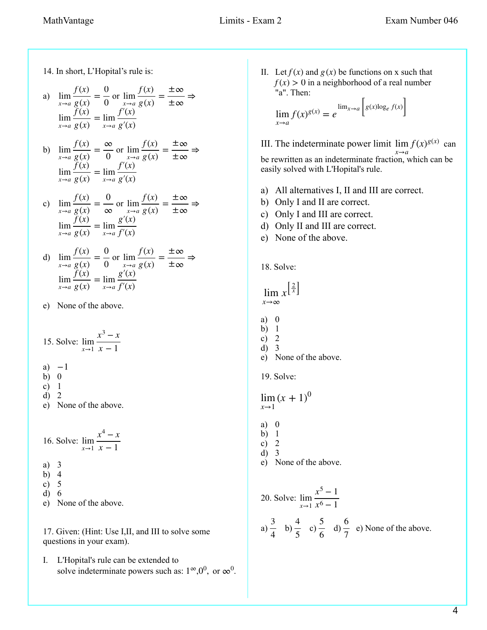14. In short, L'Hopital's rule is:

a) 
$$
\lim_{x \to a} \frac{f(x)}{g(x)} = \frac{0}{0} \text{ or } \lim_{x \to a} \frac{f(x)}{g(x)} = \frac{\pm \infty}{\pm \infty} \Rightarrow
$$

$$
\lim_{x \to a} \frac{f(x)}{g(x)} = \lim_{x \to a} \frac{f'(x)}{g'(x)}
$$

b) 
$$
\lim_{x \to a} \frac{f(x)}{g(x)} = \frac{\infty}{0} \text{ or } \lim_{x \to a} \frac{f(x)}{g(x)} = \frac{\pm \infty}{\pm \infty} \Rightarrow
$$

$$
\lim_{x \to a} \frac{f(x)}{g(x)} = \lim_{x \to a} \frac{f'(x)}{g'(x)}
$$

c)  $\lim_{x \to a} \frac{f(x)}{g(x)} = \frac{0}{\infty}$  or  $\frac{f(x)}{g(x)} = \frac{0}{\infty}$ lim *x*→*a*  $\frac{f(x)}{g(x)} = \frac{\pm \infty}{\pm \infty}$ lim *x*→*a f* (*x*)  $\frac{\partial}{\partial g(x)} = \lim_{x \to a}$ *g*′(*x*) *f*′(*x*)

d) 
$$
\lim_{x \to a} \frac{f(x)}{g(x)} = \frac{0}{0} \text{ or } \lim_{x \to a} \frac{f(x)}{g(x)} = \frac{\pm \infty}{\pm \infty} \Rightarrow
$$

$$
\lim_{x \to a} \frac{f(x)}{g(x)} = \lim_{x \to a} \frac{g'(x)}{f'(x)}
$$

e) None of the above.

15. Solve: 
$$
\lim_{x \to 1} \frac{x^3 - x}{x - 1}
$$

- a)  $-1$
- b) 0
- c) 1
- d) 2 e) None of the above.

16. Solve:  $\lim_{x\to 1}$  $x^4 - x$ *x* − 1

- a) 3
- b) 4
- c) 5
- d) 6

e) None of the above.

17. Given: (Hint: Use I,II, and III to solve some questions in your exam).

I. L'Hopital's rule can be extended to solve indeterminate powers such as:  $1^{\infty}, 0^0$ , or  $\infty^0$ . II. Let  $f(x)$  and  $g(x)$  be functions on x such that  $f(x) > 0$  in a neighborhood of a real number "a". Then:

$$
\lim_{x \to a} f(x)^{g(x)} = e^{\lim_{x \to a} \left[ g(x) \log_e f(x) \right]}
$$

- III. The indeterminate power limit  $\lim_{x \to a} f(x)^{g(x)}$  can be rewritten as an indeterminate fraction, which can be easily solved with L'Hopital's rule. *x*→*a*
- a) All alternatives I, II and III are correct.
- b) Only I and II are correct.
- c) Only I and III are correct.
- d) Only II and III are correct.
- e) None of the above.

18. Solve:

## $\lim x^{\left[\frac{2}{x}\right]}$ *x*→∞

- a) 0
- b) 1
- c) 2
- d) 3 e) None of the above.
- 19. Solve:

 $\lim_{(x+1)^0}$ *x*→1

- a) 0
- b) 1
- c) 2
- d) 3
- e) None of the above.

20. Solve: 
$$
\lim_{x \to 1} \frac{x^5 - 1}{x^6 - 1}
$$
  
a)  $\frac{3}{4}$  b)  $\frac{4}{5}$  c)  $\frac{5}{6}$  d)  $\frac{6}{7}$  e) None of the above.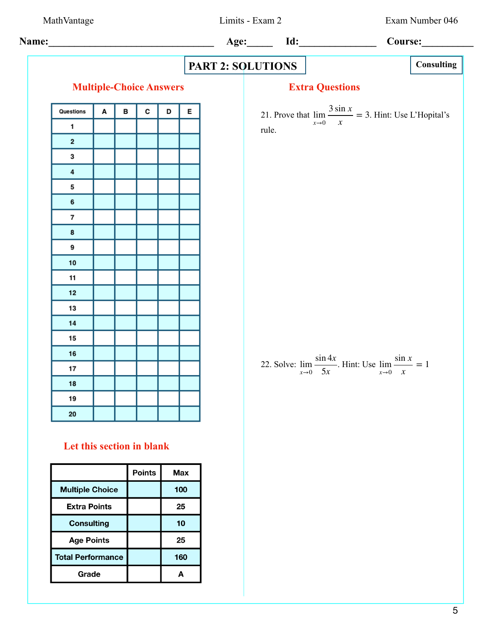**Name:\_\_\_\_\_\_\_\_\_\_\_\_\_\_\_\_\_\_\_\_\_\_\_\_\_\_\_\_\_\_\_\_ Age:\_\_\_\_\_ Id:\_\_\_\_\_\_\_\_\_\_\_\_\_\_\_ Course:\_\_\_\_\_\_\_\_\_\_ PART 2: SOLUTIONS Multiple-Choice Answers Extra Questions** 3 sin *x* Questions в  $\mathbf c$ D E A 21. Prove that  $\lim_{x\to 0} \frac{\sin x}{x} = 3$ . Hint: Use L'Hopital's  $\frac{10}{x}$  = 3  $\mathbf{1}$ rule.  $\mathbf{2}$ 3  $\overline{\mathbf{4}}$ 5 6  $\overline{\phantom{a}}$ 8 9  $10$  $11$  $12$ 13  $14$ 15 16 sin 4*x* sin *x* 22. Solve:  $\lim_{x\to 0} \frac{\sin nx}{5x}$ . Hint: Use lim *x*→0  $\frac{1}{x} = 1$  $17$ 5*x* 18 19 20 **Let this section in blank Points Max Multiple Choice** 100 **Extra Points** 25 **Consulting**  $10<sub>1</sub>$ **Age Points** 25 **Total Performance** 160 Grade A

MathVantage Limits - Exam 2 Exam Number 046